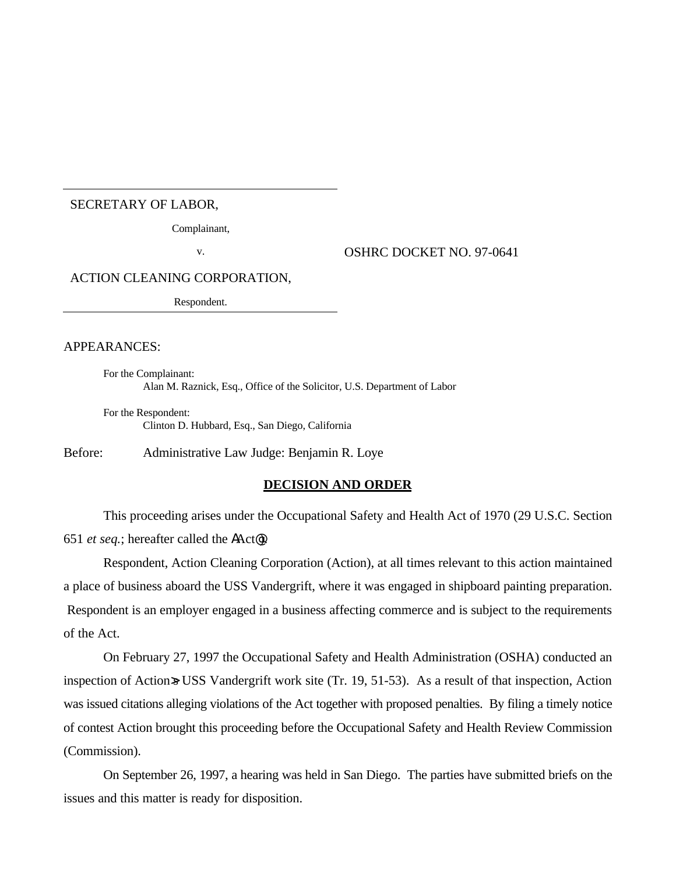#### SECRETARY OF LABOR,

Complainant,

v. OSHRC DOCKET NO. 97-0641

ACTION CLEANING CORPORATION,

Respondent.

### APPEARANCES:

For the Complainant: Alan M. Raznick, Esq., Office of the Solicitor, U.S. Department of Labor

For the Respondent: Clinton D. Hubbard, Esq., San Diego, California

Before: Administrative Law Judge: Benjamin R. Loye

#### **DECISION AND ORDER**

This proceeding arises under the Occupational Safety and Health Act of 1970 (29 U.S.C. Section 651 *et seq.*; hereafter called the AAct@).

Respondent, Action Cleaning Corporation (Action), at all times relevant to this action maintained a place of business aboard the USS Vandergrift, where it was engaged in shipboard painting preparation. Respondent is an employer engaged in a business affecting commerce and is subject to the requirements of the Act.

On February 27, 1997 the Occupational Safety and Health Administration (OSHA) conducted an inspection of Action SUSS Vandergrift work site (Tr. 19, 51-53). As a result of that inspection, Action was issued citations alleging violations of the Act together with proposed penalties. By filing a timely notice of contest Action brought this proceeding before the Occupational Safety and Health Review Commission (Commission).

On September 26, 1997, a hearing was held in San Diego. The parties have submitted briefs on the issues and this matter is ready for disposition.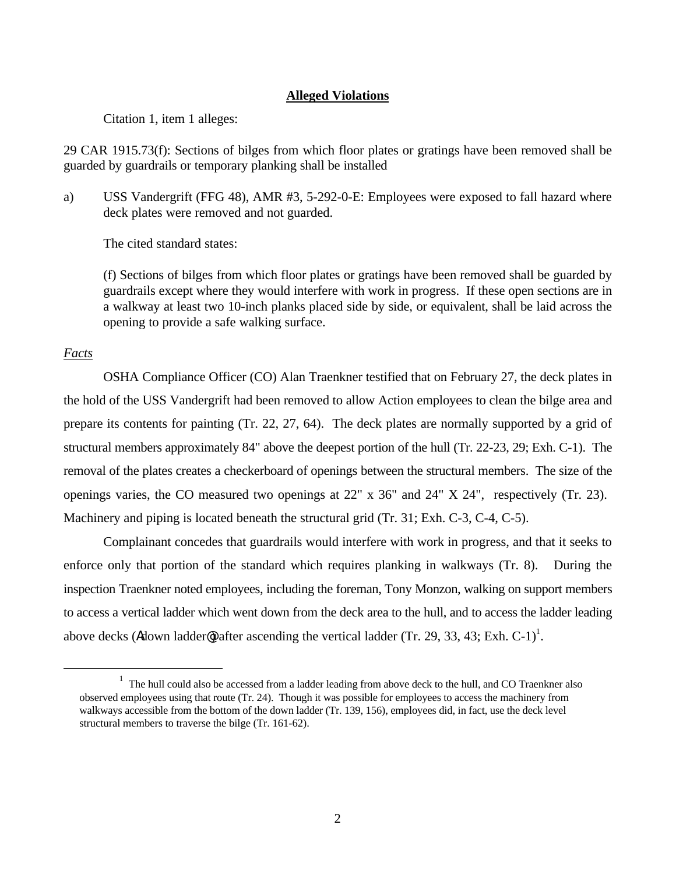# **Alleged Violations**

Citation 1, item 1 alleges:

29 CAR 1915.73(f): Sections of bilges from which floor plates or gratings have been removed shall be guarded by guardrails or temporary planking shall be installed

a) USS Vandergrift (FFG 48), AMR #3, 5-292-0-E: Employees were exposed to fall hazard where deck plates were removed and not guarded.

The cited standard states:

(f) Sections of bilges from which floor plates or gratings have been removed shall be guarded by guardrails except where they would interfere with work in progress. If these open sections are in a walkway at least two 10-inch planks placed side by side, or equivalent, shall be laid across the opening to provide a safe walking surface.

# *Facts*

 $\overline{a}$ 

OSHA Compliance Officer (CO) Alan Traenkner testified that on February 27, the deck plates in the hold of the USS Vandergrift had been removed to allow Action employees to clean the bilge area and prepare its contents for painting (Tr. 22, 27, 64). The deck plates are normally supported by a grid of structural members approximately 84" above the deepest portion of the hull (Tr. 22-23, 29; Exh. C-1). The removal of the plates creates a checkerboard of openings between the structural members. The size of the openings varies, the CO measured two openings at 22" x 36" and 24" X 24", respectively (Tr. 23). Machinery and piping is located beneath the structural grid (Tr. 31; Exh. C-3, C-4, C-5).

Complainant concedes that guardrails would interfere with work in progress, and that it seeks to enforce only that portion of the standard which requires planking in walkways (Tr. 8). During the inspection Traenkner noted employees, including the foreman, Tony Monzon, walking on support members to access a vertical ladder which went down from the deck area to the hull, and to access the ladder leading above decks (Adown ladder<sup>og</sup>) after ascending the vertical ladder (Tr. 29, 33, 43; Exh. C-1)<sup>1</sup>.

<sup>&</sup>lt;sup>1</sup> The hull could also be accessed from a ladder leading from above deck to the hull, and CO Traenkner also observed employees using that route (Tr. 24). Though it was possible for employees to access the machinery from walkways accessible from the bottom of the down ladder (Tr. 139, 156), employees did, in fact, use the deck level structural members to traverse the bilge (Tr. 161-62).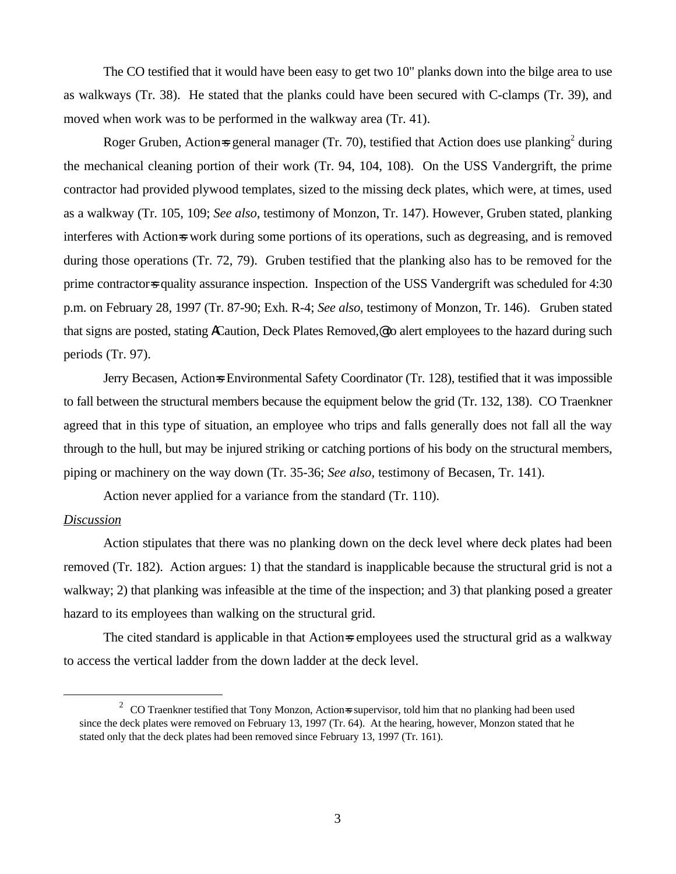The CO testified that it would have been easy to get two 10" planks down into the bilge area to use as walkways (Tr. 38). He stated that the planks could have been secured with C-clamps (Tr. 39), and moved when work was to be performed in the walkway area (Tr. 41).

Roger Gruben, Action = general manager (Tr. 70), testified that Action does use planking  $2$  during the mechanical cleaning portion of their work (Tr. 94, 104, 108). On the USS Vandergrift, the prime contractor had provided plywood templates, sized to the missing deck plates, which were, at times, used as a walkway (Tr. 105, 109; *See also*, testimony of Monzon, Tr. 147). However, Gruben stated, planking interferes with Action=s work during some portions of its operations, such as degreasing, and is removed during those operations (Tr. 72, 79). Gruben testified that the planking also has to be removed for the prime contractor=s quality assurance inspection. Inspection of the USS Vandergrift was scheduled for 4:30 p.m. on February 28, 1997 (Tr. 87-90; Exh. R-4; *See also*, testimony of Monzon, Tr. 146). Gruben stated that signs are posted, stating ACaution, Deck Plates Removed,@ to alert employees to the hazard during such periods (Tr. 97).

Jerry Becasen, Action=s Environmental Safety Coordinator (Tr. 128), testified that it was impossible to fall between the structural members because the equipment below the grid (Tr. 132, 138). CO Traenkner agreed that in this type of situation, an employee who trips and falls generally does not fall all the way through to the hull, but may be injured striking or catching portions of his body on the structural members, piping or machinery on the way down (Tr. 35-36; *See also,* testimony of Becasen, Tr. 141).

Action never applied for a variance from the standard (Tr. 110).

# *Discussion*

 $\overline{a}$ 

Action stipulates that there was no planking down on the deck level where deck plates had been removed (Tr. 182). Action argues: 1) that the standard is inapplicable because the structural grid is not a walkway; 2) that planking was infeasible at the time of the inspection; and 3) that planking posed a greater hazard to its employees than walking on the structural grid.

The cited standard is applicable in that Actions employees used the structural grid as a walkway to access the vertical ladder from the down ladder at the deck level.

<sup>&</sup>lt;sup>2</sup> CO Traenkner testified that Tony Monzon, Action=s supervisor, told him that no planking had been used since the deck plates were removed on February 13, 1997 (Tr. 64). At the hearing, however, Monzon stated that he stated only that the deck plates had been removed since February 13, 1997 (Tr. 161).